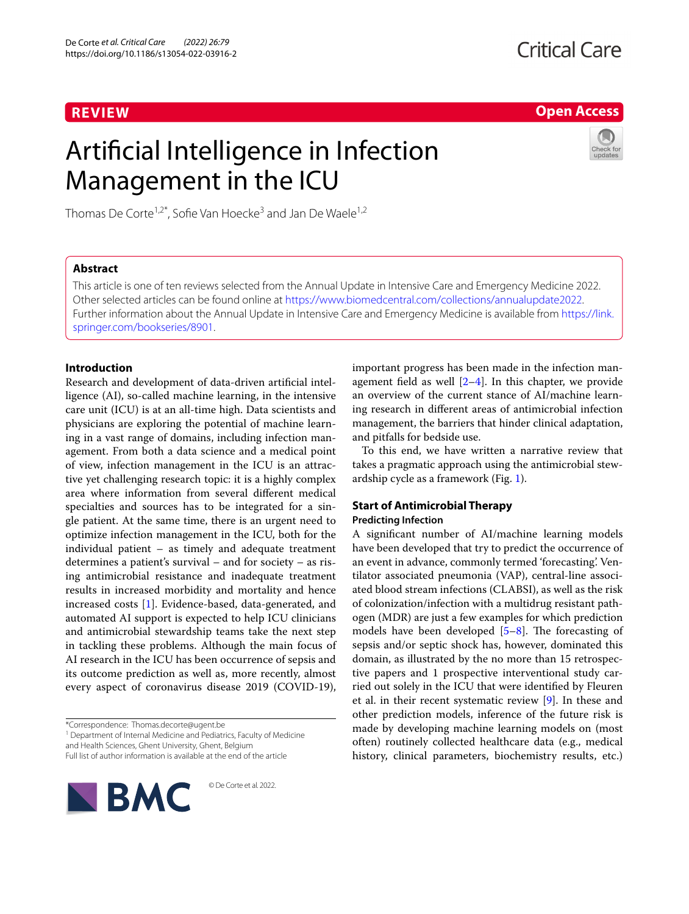# **REVIEW**

**Open Access**

# Artificial Intelligence in Infection Management in the ICU



Thomas De Corte<sup>1,2\*</sup>, Sofie Van Hoecke<sup>3</sup> and Jan De Waele<sup>1,2</sup>

## **Abstract**

This article is one of ten reviews selected from the Annual Update in Intensive Care and Emergency Medicine 2022. Other selected articles can be found online at <https://www.biomedcentral.com/collections/annualupdate2022>. Further information about the Annual Update in Intensive Care and Emergency Medicine is available from [https://link.](https://link.springer.com/bookseries/8901) [springer.com/bookseries/8901.](https://link.springer.com/bookseries/8901)

## **Introduction**

Research and development of data-driven artificial intelligence (AI), so-called machine learning, in the intensive care unit (ICU) is at an all-time high. Data scientists and physicians are exploring the potential of machine learning in a vast range of domains, including infection management. From both a data science and a medical point of view, infection management in the ICU is an attractive yet challenging research topic: it is a highly complex area where information from several different medical specialties and sources has to be integrated for a single patient. At the same time, there is an urgent need to optimize infection management in the ICU, both for the individual patient – as timely and adequate treatment determines a patient's survival – and for society – as rising antimicrobial resistance and inadequate treatment results in increased morbidity and mortality and hence increased costs [[1\]](#page-6-0). Evidence-based, data-generated, and automated AI support is expected to help ICU clinicians and antimicrobial stewardship teams take the next step in tackling these problems. Although the main focus of AI research in the ICU has been occurrence of sepsis and its outcome prediction as well as, more recently, almost every aspect of coronavirus disease 2019 (COVID-19),

\*Correspondence: Thomas.decorte@ugent.be

<sup>1</sup> Department of Internal Medicine and Pediatrics, Faculty of Medicine and Health Sciences, Ghent University, Ghent, Belgium

Full list of author information is available at the end of the article



important progress has been made in the infection management field as well  $[2-4]$  $[2-4]$  $[2-4]$ . In this chapter, we provide an overview of the current stance of AI/machine learning research in different areas of antimicrobial infection management, the barriers that hinder clinical adaptation, and pitfalls for bedside use.

To this end, we have written a narrative review that takes a pragmatic approach using the antimicrobial stewardship cycle as a framework (Fig. [1](#page-1-0)).

## **Start of Antimicrobial Therapy Predicting Infection**

A significant number of AI/machine learning models have been developed that try to predict the occurrence of an event in advance, commonly termed 'forecasting'. Ventilator associated pneumonia (VAP), central-line associated blood stream infections (CLABSI), as well as the risk of colonization/infection with a multidrug resistant pathogen (MDR) are just a few examples for which prediction models have been developed [\[5](#page-6-3)[–8](#page-6-4)]. The forecasting of sepsis and/or septic shock has, however, dominated this domain, as illustrated by the no more than 15 retrospective papers and 1 prospective interventional study carried out solely in the ICU that were identified by Fleuren et al. in their recent systematic review [\[9](#page-6-5)]. In these and other prediction models, inference of the future risk is made by developing machine learning models on (most often) routinely collected healthcare data (e.g., medical history, clinical parameters, biochemistry results, etc.)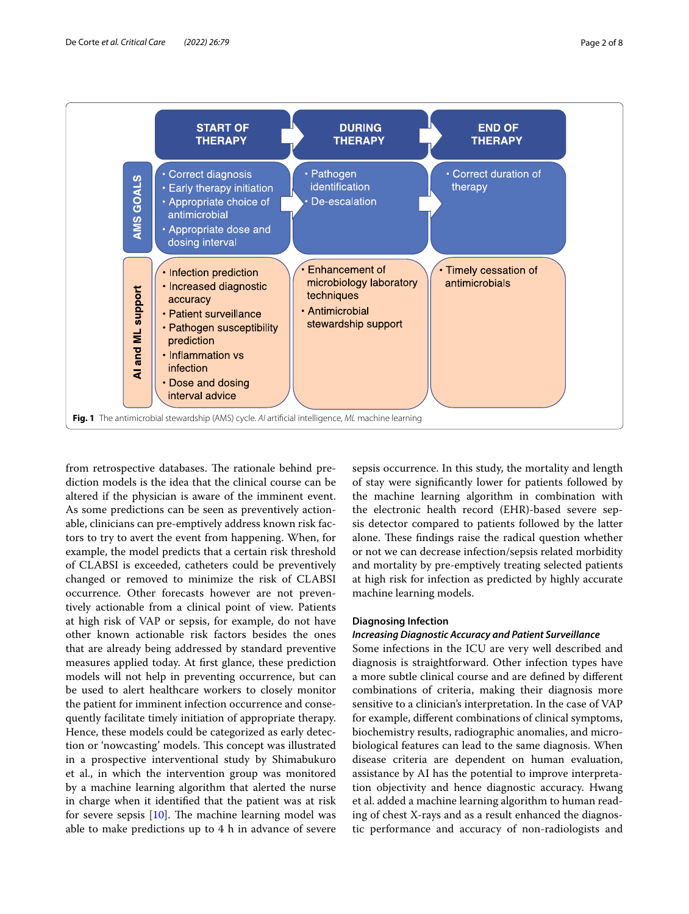

<span id="page-1-0"></span>from retrospective databases. The rationale behind prediction models is the idea that the clinical course can be altered if the physician is aware of the imminent event. As some predictions can be seen as preventively actionable, clinicians can pre-emptively address known risk factors to try to avert the event from happening. When, for example, the model predicts that a certain risk threshold of CLABSI is exceeded, catheters could be preventively changed or removed to minimize the risk of CLABSI occurrence. Other forecasts however are not preventively actionable from a clinical point of view. Patients at high risk of VAP or sepsis, for example, do not have other known actionable risk factors besides the ones that are already being addressed by standard preventive measures applied today. At first glance, these prediction models will not help in preventing occurrence, but can be used to alert healthcare workers to closely monitor the patient for imminent infection occurrence and consequently facilitate timely initiation of appropriate therapy. Hence, these models could be categorized as early detection or 'nowcasting' models. This concept was illustrated in a prospective interventional study by Shimabukuro et al., in which the intervention group was monitored by a machine learning algorithm that alerted the nurse in charge when it identified that the patient was at risk for severe sepsis [\[10\]](#page-6-6). The machine learning model was able to make predictions up to 4 h in advance of severe

sepsis occurrence. In this study, the mortality and length of stay were significantly lower for patients followed by the machine learning algorithm in combination with the electronic health record (EHR)-based severe sepsis detector compared to patients followed by the latter alone. These findings raise the radical question whether or not we can decrease infection/sepsis related morbidity and mortality by pre-emptively treating selected patients at high risk for infection as predicted by highly accurate machine learning models.

## **Diagnosing Infection**

## *Increasing Diagnostic Accuracy and Patient Surveillance*

Some infections in the ICU are very well described and diagnosis is straightforward. Other infection types have a more subtle clinical course and are defined by different combinations of criteria, making their diagnosis more sensitive to a clinician's interpretation. In the case of VAP for example, different combinations of clinical symptoms, biochemistry results, radiographic anomalies, and microbiological features can lead to the same diagnosis. When disease criteria are dependent on human evaluation, assistance by AI has the potential to improve interpretation objectivity and hence diagnostic accuracy. Hwang et al. added a machine learning algorithm to human reading of chest X-rays and as a result enhanced the diagnostic performance and accuracy of non-radiologists and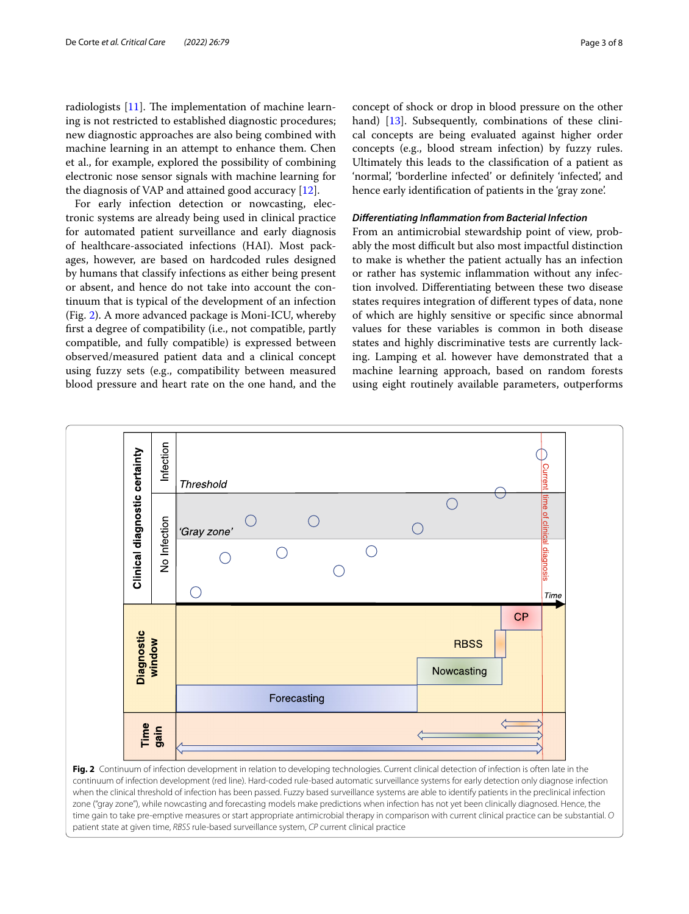radiologists [[11](#page-6-7)]. The implementation of machine learning is not restricted to established diagnostic procedures; new diagnostic approaches are also being combined with machine learning in an attempt to enhance them. Chen et al., for example, explored the possibility of combining electronic nose sensor signals with machine learning for the diagnosis of VAP and attained good accuracy [\[12](#page-6-8)].

For early infection detection or nowcasting, electronic systems are already being used in clinical practice for automated patient surveillance and early diagnosis of healthcare-associated infections (HAI). Most packages, however, are based on hardcoded rules designed by humans that classify infections as either being present or absent, and hence do not take into account the continuum that is typical of the development of an infection (Fig. [2](#page-2-0)). A more advanced package is Moni-ICU, whereby first a degree of compatibility (i.e., not compatible, partly compatible, and fully compatible) is expressed between observed/measured patient data and a clinical concept using fuzzy sets (e.g., compatibility between measured blood pressure and heart rate on the one hand, and the concept of shock or drop in blood pressure on the other hand) [[13](#page-6-9)]. Subsequently, combinations of these clinical concepts are being evaluated against higher order concepts (e.g., blood stream infection) by fuzzy rules. Ultimately this leads to the classification of a patient as 'normal', 'borderline infected' or definitely 'infected', and hence early identification of patients in the 'gray zone'.

## *Differentiating Inflammation from Bacterial Infection*

From an antimicrobial stewardship point of view, probably the most difficult but also most impactful distinction to make is whether the patient actually has an infection or rather has systemic inflammation without any infection involved. Differentiating between these two disease states requires integration of different types of data, none of which are highly sensitive or specific since abnormal values for these variables is common in both disease states and highly discriminative tests are currently lacking. Lamping et al. however have demonstrated that a machine learning approach, based on random forests using eight routinely available parameters, outperforms



<span id="page-2-0"></span>continuum of infection development (red line). Hard-coded rule-based automatic surveillance systems for early detection only diagnose infection when the clinical threshold of infection has been passed. Fuzzy based surveillance systems are able to identify patients in the preclinical infection zone ("gray zone"), while nowcasting and forecasting models make predictions when infection has not yet been clinically diagnosed. Hence, the time gain to take pre-emptive measures or start appropriate antimicrobial therapy in comparison with current clinical practice can be substantial. *O* patient state at given time, *RBSS* rule-based surveillance system, *CP* current clinical practice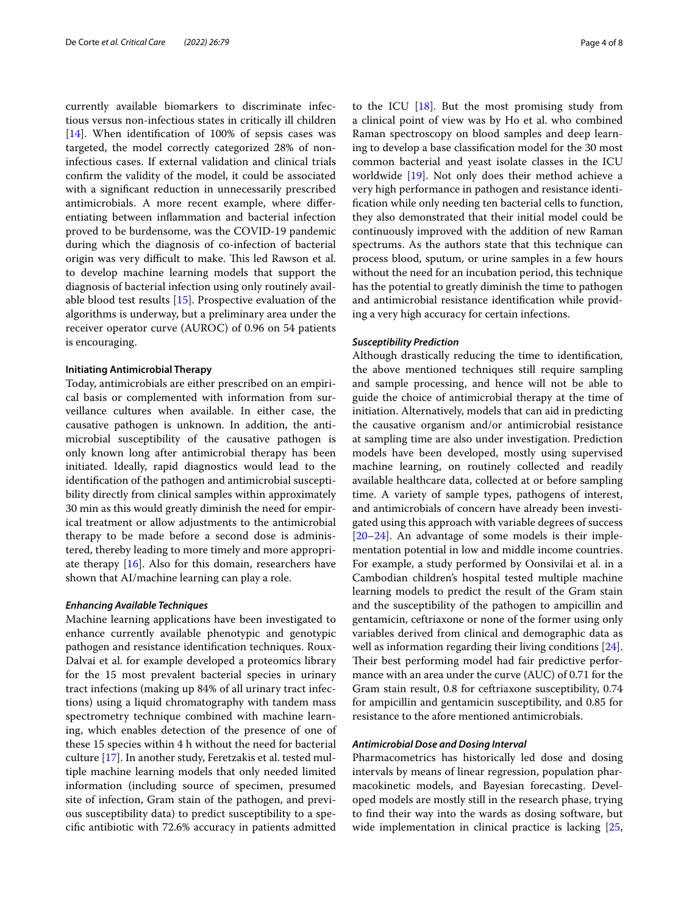currently available biomarkers to discriminate infectious versus non-infectious states in critically ill children [[14\]](#page-6-10). When identification of 100% of sepsis cases was targeted, the model correctly categorized 28% of noninfectious cases. If external validation and clinical trials confirm the validity of the model, it could be associated with a significant reduction in unnecessarily prescribed antimicrobials. A more recent example, where differentiating between inflammation and bacterial infection proved to be burdensome, was the COVID-19 pandemic during which the diagnosis of co-infection of bacterial origin was very difficult to make. This led Rawson et al. to develop machine learning models that support the diagnosis of bacterial infection using only routinely available blood test results [[15\]](#page-6-11). Prospective evaluation of the algorithms is underway, but a preliminary area under the receiver operator curve (AUROC) of 0.96 on 54 patients is encouraging.

#### **Initiating Antimicrobial Therapy**

Today, antimicrobials are either prescribed on an empirical basis or complemented with information from surveillance cultures when available. In either case, the causative pathogen is unknown. In addition, the antimicrobial susceptibility of the causative pathogen is only known long after antimicrobial therapy has been initiated. Ideally, rapid diagnostics would lead to the identification of the pathogen and antimicrobial susceptibility directly from clinical samples within approximately 30 min as this would greatly diminish the need for empirical treatment or allow adjustments to the antimicrobial therapy to be made before a second dose is administered, thereby leading to more timely and more appropriate therapy  $[16]$  $[16]$ . Also for this domain, researchers have shown that AI/machine learning can play a role.

## *Enhancing Available Techniques*

Machine learning applications have been investigated to enhance currently available phenotypic and genotypic pathogen and resistance identification techniques. Roux-Dalvai et al. for example developed a proteomics library for the 15 most prevalent bacterial species in urinary tract infections (making up 84% of all urinary tract infections) using a liquid chromatography with tandem mass spectrometry technique combined with machine learning, which enables detection of the presence of one of these 15 species within 4 h without the need for bacterial culture [\[17\]](#page-6-13). In another study, Feretzakis et al. tested multiple machine learning models that only needed limited information (including source of specimen, presumed site of infection, Gram stain of the pathogen, and previous susceptibility data) to predict susceptibility to a specific antibiotic with 72.6% accuracy in patients admitted to the ICU [[18\]](#page-6-14). But the most promising study from a clinical point of view was by Ho et al. who combined Raman spectroscopy on blood samples and deep learning to develop a base classification model for the 30 most common bacterial and yeast isolate classes in the ICU worldwide [\[19\]](#page-6-15). Not only does their method achieve a very high performance in pathogen and resistance identification while only needing ten bacterial cells to function, they also demonstrated that their initial model could be continuously improved with the addition of new Raman spectrums. As the authors state that this technique can process blood, sputum, or urine samples in a few hours without the need for an incubation period, this technique has the potential to greatly diminish the time to pathogen and antimicrobial resistance identification while providing a very high accuracy for certain infections.

#### *Susceptibility Prediction*

Although drastically reducing the time to identification, the above mentioned techniques still require sampling and sample processing, and hence will not be able to guide the choice of antimicrobial therapy at the time of initiation. Alternatively, models that can aid in predicting the causative organism and/or antimicrobial resistance at sampling time are also under investigation. Prediction models have been developed, mostly using supervised machine learning, on routinely collected and readily available healthcare data, collected at or before sampling time. A variety of sample types, pathogens of interest, and antimicrobials of concern have already been investigated using this approach with variable degrees of success [[20–](#page-7-0)[24\]](#page-7-1). An advantage of some models is their implementation potential in low and middle income countries. For example, a study performed by Oonsivilai et al. in a Cambodian children's hospital tested multiple machine learning models to predict the result of the Gram stain and the susceptibility of the pathogen to ampicillin and gentamicin, ceftriaxone or none of the former using only variables derived from clinical and demographic data as well as information regarding their living conditions [\[24](#page-7-1)]. Their best performing model had fair predictive performance with an area under the curve (AUC) of 0.71 for the Gram stain result, 0.8 for ceftriaxone susceptibility, 0.74 for ampicillin and gentamicin susceptibility, and 0.85 for resistance to the afore mentioned antimicrobials.

## *Antimicrobial Dose and Dosing Interval*

Pharmacometrics has historically led dose and dosing intervals by means of linear regression, population pharmacokinetic models, and Bayesian forecasting. Developed models are mostly still in the research phase, trying to find their way into the wards as dosing software, but wide implementation in clinical practice is lacking [[25](#page-7-2),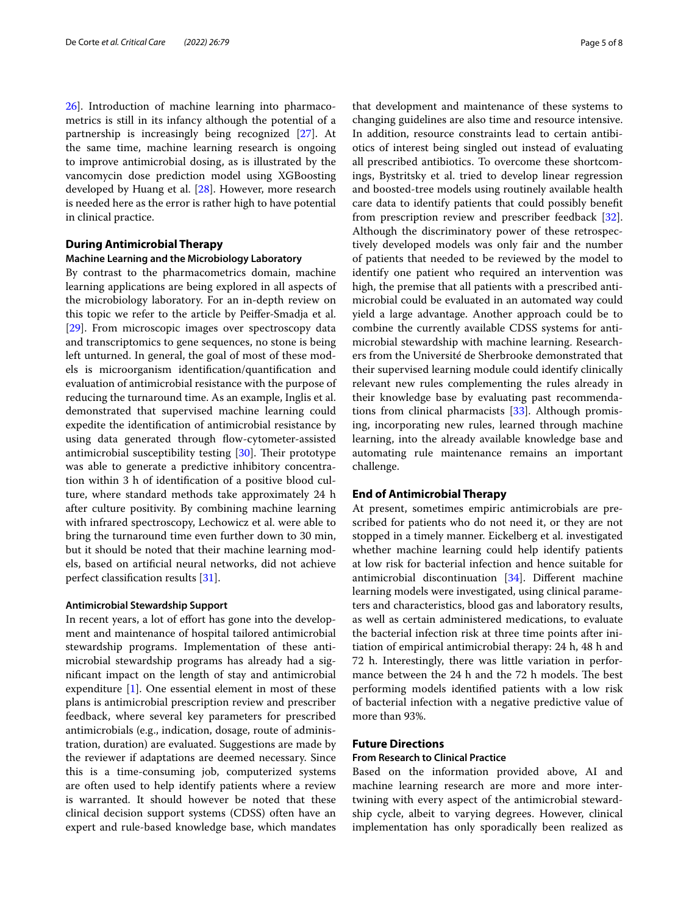[26\]](#page-7-3). Introduction of machine learning into pharmacometrics is still in its infancy although the potential of a partnership is increasingly being recognized [[27](#page-7-4)]. At the same time, machine learning research is ongoing to improve antimicrobial dosing, as is illustrated by the vancomycin dose prediction model using XGBoosting developed by Huang et al. [\[28](#page-7-5)]. However, more research is needed here as the error is rather high to have potential in clinical practice.

## **During Antimicrobial Therapy**

#### **Machine Learning and the Microbiology Laboratory**

By contrast to the pharmacometrics domain, machine learning applications are being explored in all aspects of the microbiology laboratory. For an in-depth review on this topic we refer to the article by Peiffer-Smadja et al. [[29\]](#page-7-6). From microscopic images over spectroscopy data and transcriptomics to gene sequences, no stone is being left unturned. In general, the goal of most of these models is microorganism identification/quantification and evaluation of antimicrobial resistance with the purpose of reducing the turnaround time. As an example, Inglis et al. demonstrated that supervised machine learning could expedite the identification of antimicrobial resistance by using data generated through flow-cytometer-assisted antimicrobial susceptibility testing [\[30](#page-7-7)]. Their prototype was able to generate a predictive inhibitory concentration within 3 h of identification of a positive blood culture, where standard methods take approximately 24 h after culture positivity. By combining machine learning with infrared spectroscopy, Lechowicz et al. were able to bring the turnaround time even further down to 30 min, but it should be noted that their machine learning models, based on artificial neural networks, did not achieve perfect classification results [\[31](#page-7-8)].

### **Antimicrobial Stewardship Support**

In recent years, a lot of effort has gone into the development and maintenance of hospital tailored antimicrobial stewardship programs. Implementation of these antimicrobial stewardship programs has already had a significant impact on the length of stay and antimicrobial expenditure [\[1](#page-6-0)]. One essential element in most of these plans is antimicrobial prescription review and prescriber feedback, where several key parameters for prescribed antimicrobials (e.g., indication, dosage, route of administration, duration) are evaluated. Suggestions are made by the reviewer if adaptations are deemed necessary. Since this is a time-consuming job, computerized systems are often used to help identify patients where a review is warranted. It should however be noted that these clinical decision support systems (CDSS) often have an expert and rule-based knowledge base, which mandates that development and maintenance of these systems to changing guidelines are also time and resource intensive. In addition, resource constraints lead to certain antibiotics of interest being singled out instead of evaluating all prescribed antibiotics. To overcome these shortcomings, Bystritsky et al. tried to develop linear regression and boosted-tree models using routinely available health care data to identify patients that could possibly benefit from prescription review and prescriber feedback [\[32](#page-7-9)]. Although the discriminatory power of these retrospectively developed models was only fair and the number of patients that needed to be reviewed by the model to identify one patient who required an intervention was high, the premise that all patients with a prescribed antimicrobial could be evaluated in an automated way could yield a large advantage. Another approach could be to combine the currently available CDSS systems for antimicrobial stewardship with machine learning. Researchers from the Université de Sherbrooke demonstrated that their supervised learning module could identify clinically relevant new rules complementing the rules already in their knowledge base by evaluating past recommendations from clinical pharmacists [[33\]](#page-7-10). Although promising, incorporating new rules, learned through machine learning, into the already available knowledge base and automating rule maintenance remains an important challenge.

## **End of Antimicrobial Therapy**

At present, sometimes empiric antimicrobials are prescribed for patients who do not need it, or they are not stopped in a timely manner. Eickelberg et al. investigated whether machine learning could help identify patients at low risk for bacterial infection and hence suitable for antimicrobial discontinuation [\[34](#page-7-11)]. Different machine learning models were investigated, using clinical parameters and characteristics, blood gas and laboratory results, as well as certain administered medications, to evaluate the bacterial infection risk at three time points after initiation of empirical antimicrobial therapy: 24 h, 48 h and 72 h. Interestingly, there was little variation in performance between the 24 h and the 72 h models. The best performing models identified patients with a low risk of bacterial infection with a negative predictive value of more than 93%.

## **Future Directions**

## **From Research to Clinical Practice**

Based on the information provided above, AI and machine learning research are more and more intertwining with every aspect of the antimicrobial stewardship cycle, albeit to varying degrees. However, clinical implementation has only sporadically been realized as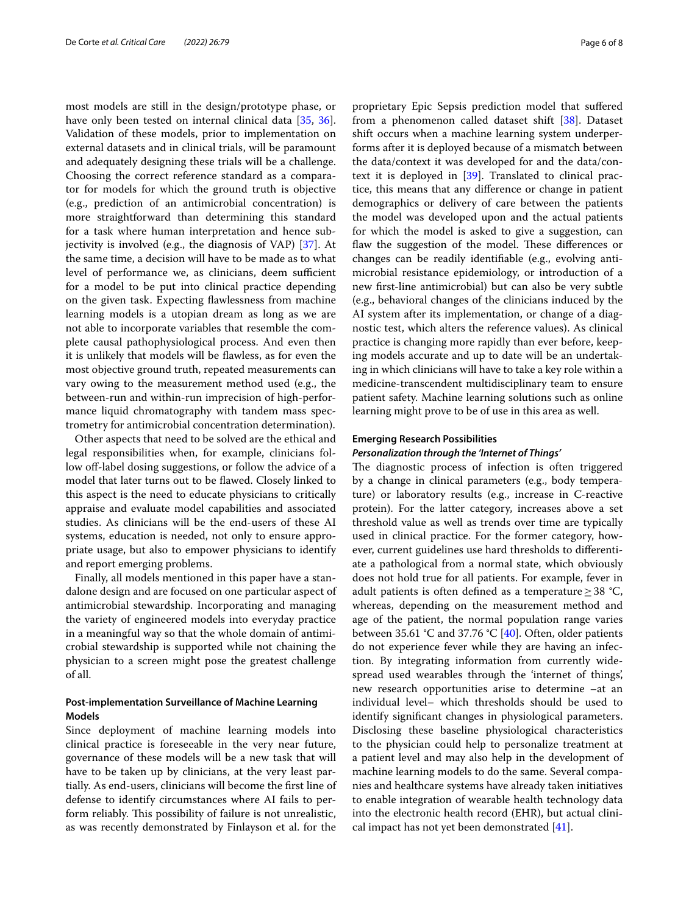most models are still in the design/prototype phase, or have only been tested on internal clinical data [[35](#page-7-12), [36](#page-7-13)]. Validation of these models, prior to implementation on external datasets and in clinical trials, will be paramount and adequately designing these trials will be a challenge. Choosing the correct reference standard as a comparator for models for which the ground truth is objective (e.g., prediction of an antimicrobial concentration) is more straightforward than determining this standard for a task where human interpretation and hence subjectivity is involved (e.g., the diagnosis of VAP) [[37\]](#page-7-14). At the same time, a decision will have to be made as to what level of performance we, as clinicians, deem sufficient for a model to be put into clinical practice depending on the given task. Expecting flawlessness from machine learning models is a utopian dream as long as we are not able to incorporate variables that resemble the complete causal pathophysiological process. And even then it is unlikely that models will be flawless, as for even the most objective ground truth, repeated measurements can vary owing to the measurement method used (e.g., the between-run and within-run imprecision of high-performance liquid chromatography with tandem mass spectrometry for antimicrobial concentration determination).

Other aspects that need to be solved are the ethical and legal responsibilities when, for example, clinicians follow off-label dosing suggestions, or follow the advice of a model that later turns out to be flawed. Closely linked to this aspect is the need to educate physicians to critically appraise and evaluate model capabilities and associated studies. As clinicians will be the end-users of these AI systems, education is needed, not only to ensure appropriate usage, but also to empower physicians to identify and report emerging problems.

Finally, all models mentioned in this paper have a standalone design and are focused on one particular aspect of antimicrobial stewardship. Incorporating and managing the variety of engineered models into everyday practice in a meaningful way so that the whole domain of antimicrobial stewardship is supported while not chaining the physician to a screen might pose the greatest challenge of all.

## **Post‑implementation Surveillance of Machine Learning Models**

Since deployment of machine learning models into clinical practice is foreseeable in the very near future, governance of these models will be a new task that will have to be taken up by clinicians, at the very least partially. As end-users, clinicians will become the first line of defense to identify circumstances where AI fails to perform reliably. This possibility of failure is not unrealistic, as was recently demonstrated by Finlayson et al. for the proprietary Epic Sepsis prediction model that suffered from a phenomenon called dataset shift [\[38](#page-7-15)]. Dataset shift occurs when a machine learning system underperforms after it is deployed because of a mismatch between the data/context it was developed for and the data/context it is deployed in [\[39](#page-7-16)]. Translated to clinical practice, this means that any difference or change in patient demographics or delivery of care between the patients the model was developed upon and the actual patients for which the model is asked to give a suggestion, can flaw the suggestion of the model. These differences or changes can be readily identifiable (e.g., evolving antimicrobial resistance epidemiology, or introduction of a new first-line antimicrobial) but can also be very subtle (e.g., behavioral changes of the clinicians induced by the AI system after its implementation, or change of a diagnostic test, which alters the reference values). As clinical practice is changing more rapidly than ever before, keeping models accurate and up to date will be an undertaking in which clinicians will have to take a key role within a medicine-transcendent multidisciplinary team to ensure patient safety. Machine learning solutions such as online learning might prove to be of use in this area as well.

## **Emerging Research Possibilities**

## *Personalization through the 'Internet of Things'*

The diagnostic process of infection is often triggered by a change in clinical parameters (e.g., body temperature) or laboratory results (e.g., increase in C-reactive protein). For the latter category, increases above a set threshold value as well as trends over time are typically used in clinical practice. For the former category, however, current guidelines use hard thresholds to differentiate a pathological from a normal state, which obviously does not hold true for all patients. For example, fever in adult patients is often defined as a temperature≥38 °C, whereas, depending on the measurement method and age of the patient, the normal population range varies between 35.61 °C and 37.76 °C [[40\]](#page-7-17). Often, older patients do not experience fever while they are having an infection. By integrating information from currently widespread used wearables through the 'internet of things', new research opportunities arise to determine –at an individual level– which thresholds should be used to identify significant changes in physiological parameters. Disclosing these baseline physiological characteristics to the physician could help to personalize treatment at a patient level and may also help in the development of machine learning models to do the same. Several companies and healthcare systems have already taken initiatives to enable integration of wearable health technology data into the electronic health record (EHR), but actual clinical impact has not yet been demonstrated [\[41](#page-7-18)].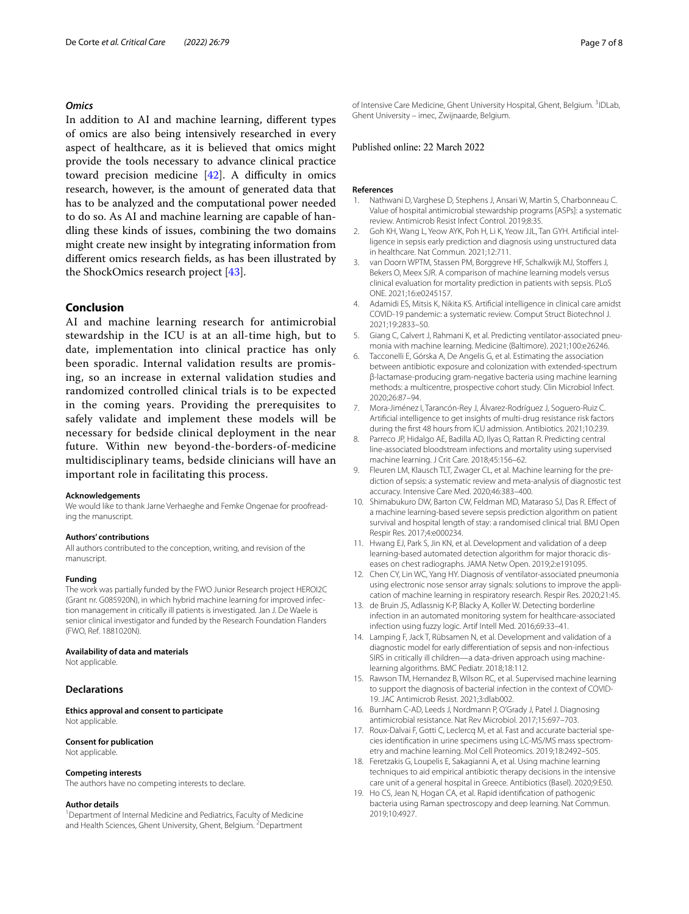#### *Omics*

In addition to AI and machine learning, different types of omics are also being intensively researched in every aspect of healthcare, as it is believed that omics might provide the tools necessary to advance clinical practice toward precision medicine [\[42](#page-7-19)]. A difficulty in omics research, however, is the amount of generated data that has to be analyzed and the computational power needed to do so. As AI and machine learning are capable of handling these kinds of issues, combining the two domains might create new insight by integrating information from different omics research fields, as has been illustrated by the ShockOmics research project [[43](#page-7-20)].

## **Conclusion**

AI and machine learning research for antimicrobial stewardship in the ICU is at an all-time high, but to date, implementation into clinical practice has only been sporadic. Internal validation results are promising, so an increase in external validation studies and randomized controlled clinical trials is to be expected in the coming years. Providing the prerequisites to safely validate and implement these models will be necessary for bedside clinical deployment in the near future. Within new beyond-the-borders-of-medicine multidisciplinary teams, bedside clinicians will have an important role in facilitating this process.

#### **Acknowledgements**

We would like to thank Jarne Verhaeghe and Femke Ongenae for proofreading the manuscript.

#### **Authors' contributions**

All authors contributed to the conception, writing, and revision of the manuscript.

#### **Funding**

The work was partially funded by the FWO Junior Research project HEROI2C (Grant nr. G085920N), in which hybrid machine learning for improved infection management in critically ill patients is investigated. Jan J. De Waele is senior clinical investigator and funded by the Research Foundation Flanders (FWO, Ref. 1881020N).

#### **Availability of data and materials**

Not applicable.

## **Declarations**

**Ethics approval and consent to participate** Not applicable.

## **Consent for publication**

Not applicable.

#### **Competing interests**

The authors have no competing interests to declare.

#### **Author details**

<sup>1</sup> Department of Internal Medicine and Pediatrics, Faculty of Medicine and Health Sciences, Ghent University, Ghent, Belgium. <sup>2</sup> Department

of Intensive Care Medicine, Ghent University Hospital, Ghent, Belgium. <sup>3</sup>IDLab, Ghent University – imec, Zwijnaarde, Belgium.

#### Published online: 22 March 2022

#### **References**

- <span id="page-6-0"></span>1. Nathwani D, Varghese D, Stephens J, Ansari W, Martin S, Charbonneau C. Value of hospital antimicrobial stewardship programs [ASPs]: a systematic review. Antimicrob Resist Infect Control. 2019;8:35.
- <span id="page-6-1"></span>2. Goh KH, Wang L, Yeow AYK, Poh H, Li K, Yeow JJL, Tan GYH. Artificial intelligence in sepsis early prediction and diagnosis using unstructured data in healthcare. Nat Commun. 2021;12:711.
- van Doorn WPTM, Stassen PM, Borggreve HF, Schalkwijk MJ, Stoffers J, Bekers O, Meex SJR. A comparison of machine learning models versus clinical evaluation for mortality prediction in patients with sepsis. PLoS ONE. 2021;16:e0245157.
- <span id="page-6-2"></span>4. Adamidi ES, Mitsis K, Nikita KS. Artificial intelligence in clinical care amidst COVID-19 pandemic: a systematic review. Comput Struct Biotechnol J. 2021;19:2833–50.
- <span id="page-6-3"></span>5. Giang C, Calvert J, Rahmani K, et al. Predicting ventilator-associated pneumonia with machine learning. Medicine (Baltimore). 2021;100:e26246.
- 6. Tacconelli E, Górska A, De Angelis G, et al. Estimating the association between antibiotic exposure and colonization with extended-spectrum β-lactamase-producing gram-negative bacteria using machine learning methods: a multicentre, prospective cohort study. Clin Microbiol Infect. 2020;26:87–94.
- 7. Mora-Jiménez I, Tarancón-Rey J, Álvarez-Rodríguez J, Soguero-Ruiz C. Artificial intelligence to get insights of multi-drug resistance risk factors during the first 48 hours from ICU admission. Antibiotics. 2021;10:239.
- <span id="page-6-4"></span>8. Parreco JP, Hidalgo AE, Badilla AD, Ilyas O, Rattan R. Predicting central line-associated bloodstream infections and mortality using supervised machine learning. J Crit Care. 2018;45:156–62.
- <span id="page-6-5"></span>9. Fleuren LM, Klausch TLT, Zwager CL, et al. Machine learning for the prediction of sepsis: a systematic review and meta-analysis of diagnostic test accuracy. Intensive Care Med. 2020;46:383–400.
- <span id="page-6-6"></span>10. Shimabukuro DW, Barton CW, Feldman MD, Mataraso SJ, Das R. Effect of a machine learning-based severe sepsis prediction algorithm on patient survival and hospital length of stay: a randomised clinical trial. BMJ Open Respir Res. 2017;4:e000234.
- <span id="page-6-7"></span>11. Hwang EJ, Park S, Jin KN, et al. Development and validation of a deep learning-based automated detection algorithm for major thoracic diseases on chest radiographs. JAMA Netw Open. 2019;2:e191095.
- <span id="page-6-8"></span>12. Chen CY, Lin WC, Yang HY. Diagnosis of ventilator-associated pneumonia using electronic nose sensor array signals: solutions to improve the application of machine learning in respiratory research. Respir Res. 2020;21:45.
- <span id="page-6-9"></span>13. de Bruin JS, Adlassnig K-P, Blacky A, Koller W. Detecting borderline infection in an automated monitoring system for healthcare-associated infection using fuzzy logic. Artif Intell Med. 2016;69:33–41.
- <span id="page-6-10"></span>14. Lamping F, Jack T, Rübsamen N, et al. Development and validation of a diagnostic model for early differentiation of sepsis and non-infectious SIRS in critically ill children—a data-driven approach using machinelearning algorithms. BMC Pediatr. 2018;18:112.
- <span id="page-6-11"></span>15. Rawson TM, Hernandez B, Wilson RC, et al. Supervised machine learning to support the diagnosis of bacterial infection in the context of COVID-19. JAC Antimicrob Resist. 2021;3:dlab002.
- <span id="page-6-12"></span>16. Burnham C-AD, Leeds J, Nordmann P, O'Grady J, Patel J. Diagnosing antimicrobial resistance. Nat Rev Microbiol. 2017;15:697–703.
- <span id="page-6-13"></span>17. Roux-Dalvai F, Gotti C, Leclercq M, et al. Fast and accurate bacterial species identification in urine specimens using LC-MS/MS mass spectrometry and machine learning. Mol Cell Proteomics. 2019;18:2492–505.
- <span id="page-6-14"></span>18. Feretzakis G, Loupelis E, Sakagianni A, et al. Using machine learning techniques to aid empirical antibiotic therapy decisions in the intensive care unit of a general hospital in Greece. Antibiotics (Basel). 2020;9:E50.
- <span id="page-6-15"></span>19. Ho CS, Jean N, Hogan CA, et al. Rapid identification of pathogenic bacteria using Raman spectroscopy and deep learning. Nat Commun. 2019;10:4927.